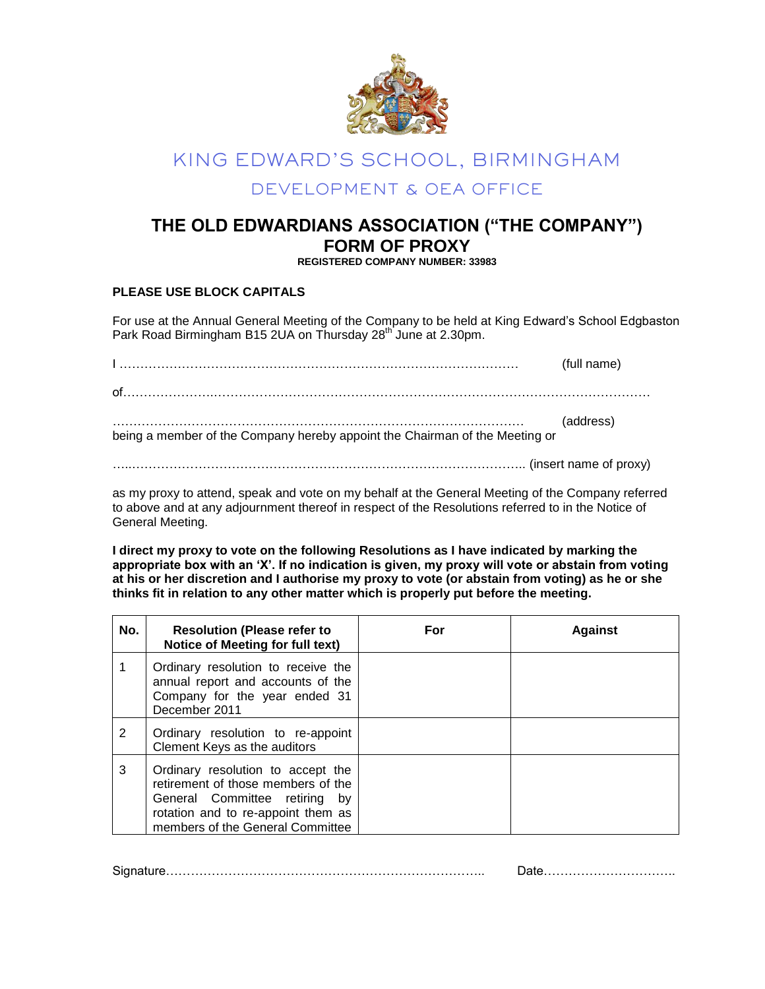

## KING EDWARD'S SCHOOL, BIRMINGHAM DEVELOPMENT & OEA OFFICE

## **THE OLD EDWARDIANS ASSOCIATION ("THE COMPANY") FORM OF PROXY**

**REGISTERED COMPANY NUMBER: 33983**

## **PLEASE USE BLOCK CAPITALS**

For use at the Annual General Meeting of the Company to be held at King Edward's School Edgbaston Park Road Birmingham B15 2UA on Thursday 28<sup>th</sup> June at 2.30pm.

|                                                                             | (full name) |
|-----------------------------------------------------------------------------|-------------|
|                                                                             |             |
| being a member of the Company hereby appoint the Chairman of the Meeting or | (address)   |
| (insert name of proxy)                                                      |             |

as my proxy to attend, speak and vote on my behalf at the General Meeting of the Company referred to above and at any adjournment thereof in respect of the Resolutions referred to in the Notice of General Meeting.

**I direct my proxy to vote on the following Resolutions as I have indicated by marking the appropriate box with an "X". If no indication is given, my proxy will vote or abstain from voting at his or her discretion and I authorise my proxy to vote (or abstain from voting) as he or she thinks fit in relation to any other matter which is properly put before the meeting.** 

| No. | <b>Resolution (Please refer to</b><br>Notice of Meeting for full text)                                                                                                                | For | <b>Against</b> |
|-----|---------------------------------------------------------------------------------------------------------------------------------------------------------------------------------------|-----|----------------|
|     | Ordinary resolution to receive the<br>annual report and accounts of the<br>Company for the year ended 31<br>December 2011                                                             |     |                |
| 2   | Ordinary resolution to re-appoint<br>Clement Keys as the auditors                                                                                                                     |     |                |
| 3   | Ordinary resolution to accept the<br>retirement of those members of the<br>General Committee retiring<br>bv<br>rotation and to re-appoint them as<br>members of the General Committee |     |                |

Signature………………………………………………………………….. Date…………………………..